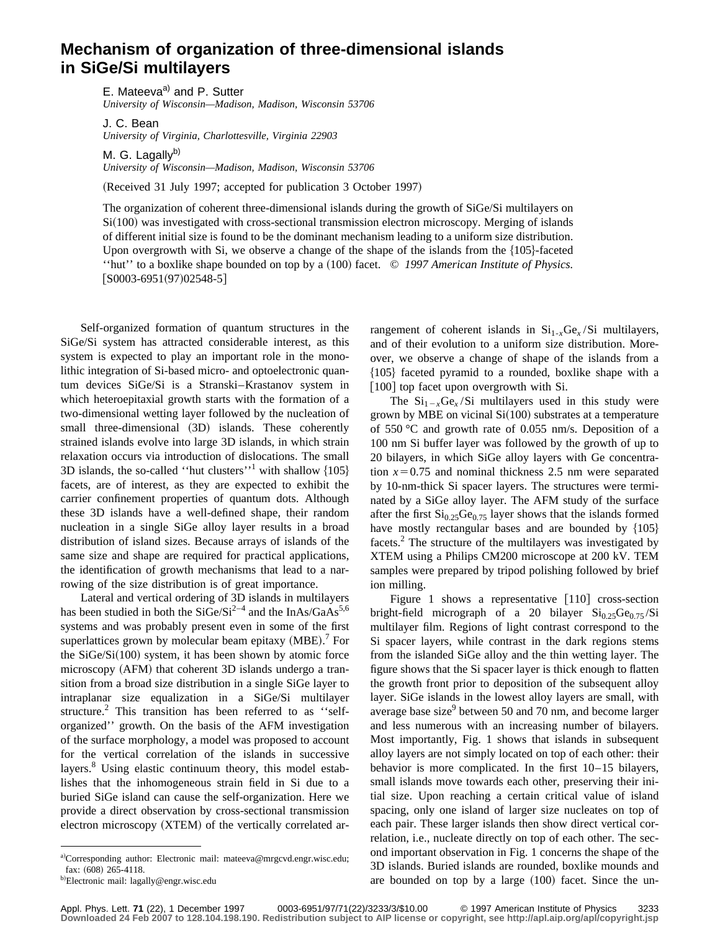## **Mechanism of organization of three-dimensional islands in SiGe/Si multilayers**

E. Mateeva<sup>a)</sup> and P. Sutter *University of Wisconsin—Madison, Madison, Wisconsin 53706*

J. C. Bean *University of Virginia, Charlottesville, Virginia 22903*

M. G. Lagally $^{b)}$ *University of Wisconsin—Madison, Madison, Wisconsin 53706*

(Received 31 July 1997; accepted for publication 3 October 1997)

The organization of coherent three-dimensional islands during the growth of SiGe/Si multilayers on  $Si(100)$  was investigated with cross-sectional transmission electron microscopy. Merging of islands of different initial size is found to be the dominant mechanism leading to a uniform size distribution. Upon overgrowth with Si, we observe a change of the shape of the islands from the  $\{105\}$ -faceted ''hut'' to a boxlike shape bounded on top by a ~100! facet. © *1997 American Institute of Physics.*  $[$ S0003-6951(97)02548-5 $]$ 

Self-organized formation of quantum structures in the SiGe/Si system has attracted considerable interest, as this system is expected to play an important role in the monolithic integration of Si-based micro- and optoelectronic quantum devices SiGe/Si is a Stranski–Krastanov system in which heteroepitaxial growth starts with the formation of a two-dimensional wetting layer followed by the nucleation of small three-dimensional (3D) islands. These coherently strained islands evolve into large 3D islands, in which strain relaxation occurs via introduction of dislocations. The small 3D islands, the so-called "hut clusters"<sup>1</sup> with shallow  $\{105\}$ facets, are of interest, as they are expected to exhibit the carrier confinement properties of quantum dots. Although these 3D islands have a well-defined shape, their random nucleation in a single SiGe alloy layer results in a broad distribution of island sizes. Because arrays of islands of the same size and shape are required for practical applications, the identification of growth mechanisms that lead to a narrowing of the size distribution is of great importance.

Lateral and vertical ordering of 3D islands in multilayers has been studied in both the  $SiGe/Si^{2-4}$  and the InAs/GaAs<sup>5,6</sup> systems and was probably present even in some of the first superlattices grown by molecular beam epitaxy  $(MBE)$ .<sup>7</sup> For the  $SiGe/Si(100)$  system, it has been shown by atomic force microscopy (AFM) that coherent 3D islands undergo a transition from a broad size distribution in a single SiGe layer to intraplanar size equalization in a SiGe/Si multilayer structure.<sup>2</sup> This transition has been referred to as "selforganized'' growth. On the basis of the AFM investigation of the surface morphology, a model was proposed to account for the vertical correlation of the islands in successive layers.<sup>8</sup> Using elastic continuum theory, this model establishes that the inhomogeneous strain field in Si due to a buried SiGe island can cause the self-organization. Here we provide a direct observation by cross-sectional transmission electron microscopy (XTEM) of the vertically correlated arrangement of coherent islands in  $Si_{1-x}Ge_x/Si$  multilayers, and of their evolution to a uniform size distribution. Moreover, we observe a change of shape of the islands from a  ${105}$  faceted pyramid to a rounded, boxlike shape with a  $[100]$  top facet upon overgrowth with Si.

The  $Si_{1-x}Ge_x/Si$  multilayers used in this study were grown by MBE on vicinal  $Si(100)$  substrates at a temperature of 550 °C and growth rate of 0.055 nm/s. Deposition of a 100 nm Si buffer layer was followed by the growth of up to 20 bilayers, in which SiGe alloy layers with Ge concentration  $x=0.75$  and nominal thickness 2.5 nm were separated by 10-nm-thick Si spacer layers. The structures were terminated by a SiGe alloy layer. The AFM study of the surface after the first  $Si<sub>0.25</sub>Ge<sub>0.75</sub>$  layer shows that the islands formed have mostly rectangular bases and are bounded by  ${105}$ facets.<sup>2</sup> The structure of the multilayers was investigated by XTEM using a Philips CM200 microscope at 200 kV. TEM samples were prepared by tripod polishing followed by brief ion milling.

Figure 1 shows a representative  $\lceil 110 \rceil$  cross-section bright-field micrograph of a 20 bilayer  $Si_{0.25}Ge_{0.75}/Si$ multilayer film. Regions of light contrast correspond to the Si spacer layers, while contrast in the dark regions stems from the islanded SiGe alloy and the thin wetting layer. The figure shows that the Si spacer layer is thick enough to flatten the growth front prior to deposition of the subsequent alloy layer. SiGe islands in the lowest alloy layers are small, with average base size $9$  between 50 and 70 nm, and become larger and less numerous with an increasing number of bilayers. Most importantly, Fig. 1 shows that islands in subsequent alloy layers are not simply located on top of each other: their behavior is more complicated. In the first 10–15 bilayers, small islands move towards each other, preserving their initial size. Upon reaching a certain critical value of island spacing, only one island of larger size nucleates on top of each pair. These larger islands then show direct vertical correlation, i.e., nucleate directly on top of each other. The second important observation in Fig. 1 concerns the shape of the 3D islands. Buried islands are rounded, boxlike mounds and are bounded on top by a large  $(100)$  facet. Since the un-

a)Corresponding author: Electronic mail: mateeva@mrgcvd.engr.wisc.edu; fax:  $(608)$  265-4118.

<sup>&</sup>lt;sup>b)</sup>Electronic mail: lagally@engr.wisc.edu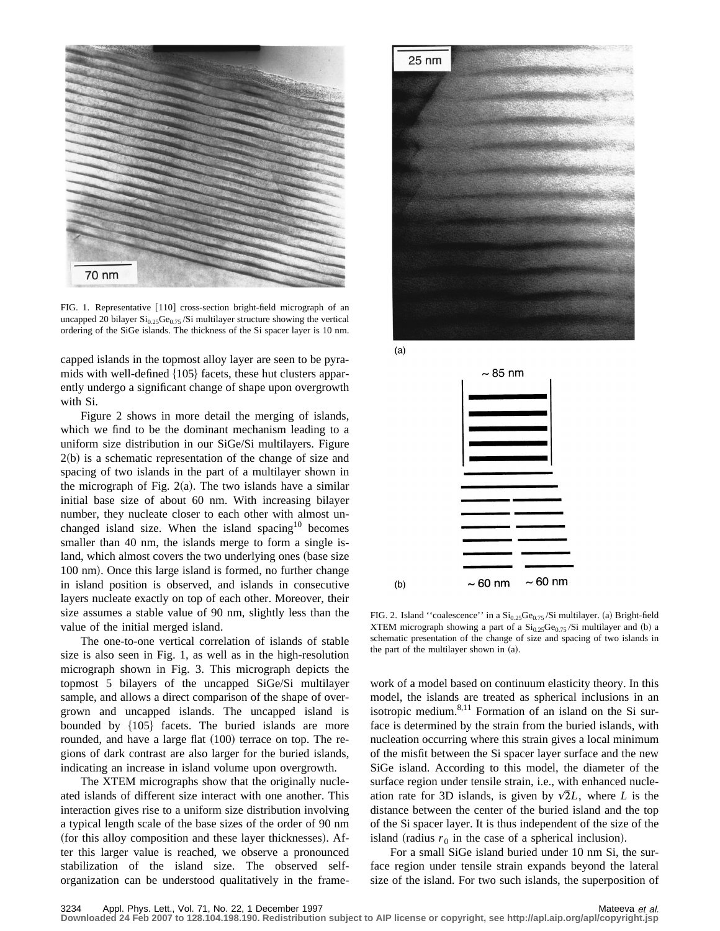

FIG. 1. Representative [110] cross-section bright-field micrograph of an uncapped 20 bilayer  $\mathrm{Si}_{0.25}\mathrm{Ge}_{0.75}$ /Si multilayer structure showing the vertical ordering of the SiGe islands. The thickness of the Si spacer layer is 10 nm.

capped islands in the topmost alloy layer are seen to be pyramids with well-defined  ${105}$  facets, these hut clusters apparently undergo a significant change of shape upon overgrowth with Si.

Figure 2 shows in more detail the merging of islands, which we find to be the dominant mechanism leading to a uniform size distribution in our SiGe/Si multilayers. Figure  $2(b)$  is a schematic representation of the change of size and spacing of two islands in the part of a multilayer shown in the micrograph of Fig.  $2(a)$ . The two islands have a similar initial base size of about 60 nm. With increasing bilayer number, they nucleate closer to each other with almost unchanged island size. When the island spacing $10$  becomes smaller than 40 nm, the islands merge to form a single island, which almost covers the two underlying ones (base size 100 nm). Once this large island is formed, no further change in island position is observed, and islands in consecutive layers nucleate exactly on top of each other. Moreover, their size assumes a stable value of 90 nm, slightly less than the value of the initial merged island.

The one-to-one vertical correlation of islands of stable size is also seen in Fig. 1, as well as in the high-resolution micrograph shown in Fig. 3. This micrograph depicts the topmost 5 bilayers of the uncapped SiGe/Si multilayer sample, and allows a direct comparison of the shape of overgrown and uncapped islands. The uncapped island is bounded by  $\{105\}$  facets. The buried islands are more rounded, and have a large flat (100) terrace on top. The regions of dark contrast are also larger for the buried islands, indicating an increase in island volume upon overgrowth.

The XTEM micrographs show that the originally nucleated islands of different size interact with one another. This interaction gives rise to a uniform size distribution involving a typical length scale of the base sizes of the order of 90 nm (for this alloy composition and these layer thicknesses). After this larger value is reached, we observe a pronounced stabilization of the island size. The observed selforganization can be understood qualitatively in the frame-



 $(a)$ 



FIG. 2. Island "coalescence" in a  $Si<sub>0.25</sub>Ge<sub>0.75</sub>/Si$  multilayer. (a) Bright-field XTEM micrograph showing a part of a  $Si<sub>0.25</sub>Ge<sub>0.75</sub>/Si$  multilayer and (b) a schematic presentation of the change of size and spacing of two islands in the part of the multilayer shown in  $(a)$ .

work of a model based on continuum elasticity theory. In this model, the islands are treated as spherical inclusions in an isotropic medium. $8,11$  Formation of an island on the Si surface is determined by the strain from the buried islands, with nucleation occurring where this strain gives a local minimum of the misfit between the Si spacer layer surface and the new SiGe island. According to this model, the diameter of the surface region under tensile strain, i.e., with enhanced nucleation rate for 3D islands, is given by  $\sqrt{2}L$ , where *L* is the distance between the center of the buried island and the top of the Si spacer layer. It is thus independent of the size of the island (radius  $r_0$  in the case of a spherical inclusion).

For a small SiGe island buried under 10 nm Si, the surface region under tensile strain expands beyond the lateral size of the island. For two such islands, the superposition of